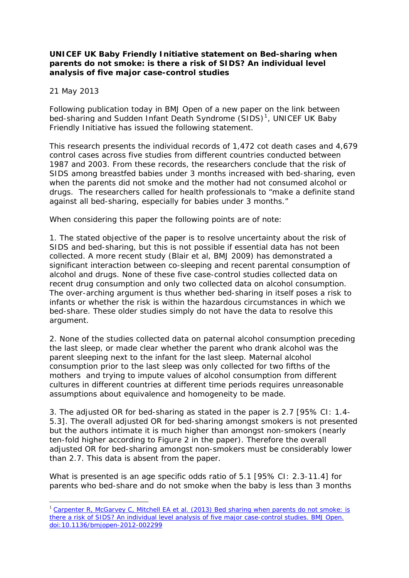## **UNICEF UK Baby Friendly Initiative statement on** *Bed-sharing when parents do not smoke: is there a risk of SIDS? An individual level analysis of five major case-control studies*

21 May 2013

1

Following publication today in BMJ Open of a new paper on the link between bed-sharing and Sudden Infant Death Syndrome (SIDS)<sup>[1](#page-0-0)</sup>, UNICEF UK Baby Friendly Initiative has issued the following statement.

This research presents the individual records of 1,472 cot death cases and 4,679 control cases across five studies from different countries conducted between 1987 and 2003. From these records, the researchers conclude that the risk of SIDS among breastfed babies under 3 months increased with bed-sharing, even when the parents did not smoke and the mother had not consumed alcohol or drugs. The researchers called for health professionals to "make a definite stand against all bed-sharing, especially for babies under 3 months."

When considering this paper the following points are of note:

1. The stated objective of the paper is to resolve uncertainty about the risk of SIDS and bed-sharing, but this is not possible if essential data has not been collected. A more recent study (Blair et al, BMJ 2009) has demonstrated a significant interaction between co-sleeping and recent parental consumption of alcohol and drugs. None of these five case-control studies collected data on recent drug consumption and only two collected data on alcohol consumption. The over-arching argument is thus whether bed-sharing in itself poses a risk to infants or whether the risk is within the hazardous circumstances in which we bed-share. These older studies simply do not have the data to resolve this argument.

2. None of the studies collected data on paternal alcohol consumption preceding the last sleep, or made clear whether the parent who drank alcohol was the parent sleeping next to the infant for the last sleep. Maternal alcohol consumption prior to the last sleep was only collected for two fifths of the mothers and trying to impute values of alcohol consumption from different cultures in different countries at different time periods requires unreasonable assumptions about equivalence and homogeneity to be made.

3. The adjusted OR for bed-sharing as stated in the paper is 2.7 [95% CI: 1.4- 5.3]. The overall adjusted OR for bed-sharing amongst smokers is not presented but the authors intimate it is much higher than amongst non-smokers (nearly ten-fold higher according to Figure 2 in the paper). Therefore the overall adjusted OR for bed-sharing amongst non-smokers must be considerably lower than 2.7. This data is absent from the paper.

What is presented is an age specific odds ratio of 5.1 [95% CI: 2.3-11.4] for parents who bed-share and do not smoke when the baby is less than 3 months

<span id="page-0-0"></span><sup>&</sup>lt;sup>1</sup> Carpenter R, McGarvey C, Mitchell EA et al. (2013) Bed sharing when parents do not smoke: is [there a risk of SIDS? An individual level analysis of five major case-control studies. BMJ Open.](http://bmjopen.bmj.com/content/3/5/e002299.full)  [doi:10.1136/bmjopen-2012-002299](http://bmjopen.bmj.com/content/3/5/e002299.full)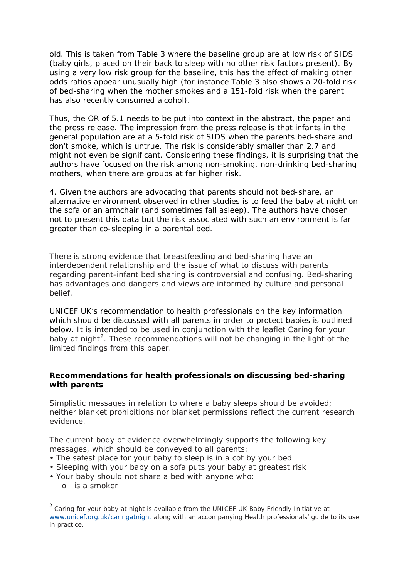old. This is taken from Table 3 where the baseline group are at low risk of SIDS (baby girls, placed on their back to sleep with no other risk factors present). By using a very low risk group for the baseline, this has the effect of making other odds ratios appear unusually high (for instance Table 3 also shows a 20-fold risk of bed-sharing when the mother smokes and a 151-fold risk when the parent has also recently consumed alcohol).

Thus, the OR of 5.1 needs to be put into context in the abstract, the paper and the press release. The impression from the press release is that infants in the general population are at a 5-fold risk of SIDS when the parents bed-share and don't smoke, which is untrue. The risk is considerably smaller than 2.7 and might not even be significant. Considering these findings, it is surprising that the authors have focused on the risk among non-smoking, non-drinking bed-sharing mothers, when there are groups at far higher risk.

4. Given the authors are advocating that parents should not bed-share, an alternative environment observed in other studies is to feed the baby at night on the sofa or an armchair (and sometimes fall asleep). The authors have chosen not to present this data but the risk associated with such an environment is far greater than co-sleeping in a parental bed.

There is strong evidence that breastfeeding and bed-sharing have an interdependent relationship and the issue of what to discuss with parents regarding parent-infant bed sharing is controversial and confusing. Bed-sharing has advantages and dangers and views are informed by culture and personal belief.

UNICEF UK's recommendation to health professionals on the key information which should be discussed with all parents in order to protect babies is outlined below. It is intended to be used in conjunction with the leaflet *Caring for your*  baby at night<sup>[2](#page-1-0)</sup>. These recommendations will not be changing in the light of the limited findings from this paper.

## **Recommendations for health professionals on discussing bed-sharing with parents**

Simplistic messages in relation to where a baby sleeps should be avoided; neither blanket prohibitions nor blanket permissions reflect the current research evidence.

The current body of evidence overwhelmingly supports the following key messages, which should be conveyed to all parents:

- The safest place for your baby to sleep is in a cot by your bed
- Sleeping with your baby on a sofa puts your baby at greatest risk
- Your baby should not share a bed with anyone who:
	- o is a smoker

1

<span id="page-1-0"></span><sup>2</sup> *Caring for your baby at night* is available from the UNICEF UK Baby Friendly Initiative at www.unicef.org.uk/caringatnight along with an accompanying Health professionals' guide to its use in practice.